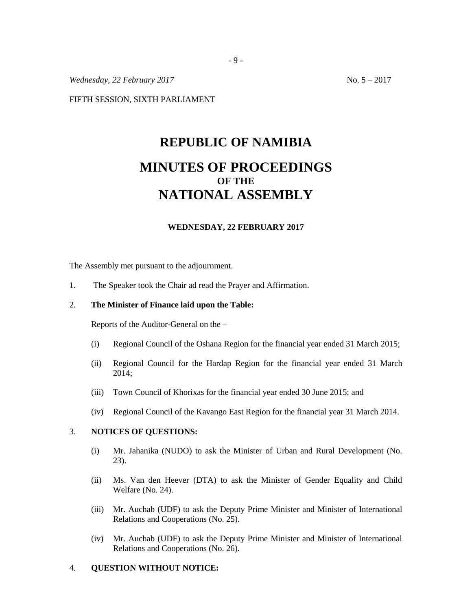*Wednesday, 22 February 2017* No. 5 – 2017

FIFTH SESSION, SIXTH PARLIAMENT

# **REPUBLIC OF NAMIBIA MINUTES OF PROCEEDINGS OF THE NATIONAL ASSEMBLY**

#### **WEDNESDAY, 22 FEBRUARY 2017**

The Assembly met pursuant to the adjournment.

1. The Speaker took the Chair ad read the Prayer and Affirmation.

### 2. **The Minister of Finance laid upon the Table:**

Reports of the Auditor-General on the –

- (i) Regional Council of the Oshana Region for the financial year ended 31 March 2015;
- (ii) Regional Council for the Hardap Region for the financial year ended 31 March 2014;
- (iii) Town Council of Khorixas for the financial year ended 30 June 2015; and
- (iv) Regional Council of the Kavango East Region for the financial year 31 March 2014.

#### 3. **NOTICES OF QUESTIONS:**

- (i) Mr. Jahanika (NUDO) to ask the Minister of Urban and Rural Development (No. 23).
- (ii) Ms. Van den Heever (DTA) to ask the Minister of Gender Equality and Child Welfare (No. 24).
- (iii) Mr. Auchab (UDF) to ask the Deputy Prime Minister and Minister of International Relations and Cooperations (No. 25).
- (iv) Mr. Auchab (UDF) to ask the Deputy Prime Minister and Minister of International Relations and Cooperations (No. 26).

#### 4. **QUESTION WITHOUT NOTICE:**